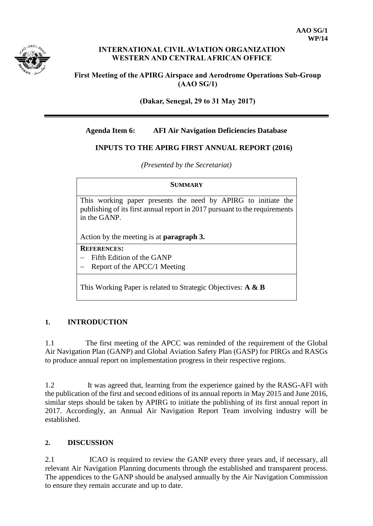

### **INTERNATIONAL CIVIL AVIATION ORGANIZATION WESTERN AND CENTRAL AFRICAN OFFICE**

### **First Meeting of the APIRG Airspace and Aerodrome Operations Sub-Group (AAO SG/1)**

**(Dakar, Senegal, 29 to 31 May 2017)**

### **Agenda Item 6: AFI Air Navigation Deficiencies Database**

### **INPUTS TO THE APIRG FIRST ANNUAL REPORT (2016)**

*(Presented by the Secretariat)*

# **SUMMARY** This working paper presents the need by APIRG to initiate the publishing of its first annual report in 2017 pursuant to the requirements in the GANP. Action by the meeting is at **paragraph 3. REFERENCES:**  $-$  Fifth Edition of the GANP Report of the APCC/1 Meeting

This Working Paper is related to Strategic Objectives: **A & B**

# **1. INTRODUCTION**

1.1 The first meeting of the APCC was reminded of the requirement of the Global Air Navigation Plan (GANP) and Global Aviation Safety Plan (GASP) for PIRGs and RASGs to produce annual report on implementation progress in their respective regions.

1.2 It was agreed that, learning from the experience gained by the RASG-AFI with the publication of the first and second editions of its annual reports in May 2015 and June 2016, similar steps should be taken by APIRG to initiate the publishing of its first annual report in 2017. Accordingly, an Annual Air Navigation Report Team involving industry will be established.

# **2. DISCUSSION**

2.1 ICAO is required to review the GANP every three years and, if necessary, all relevant Air Navigation Planning documents through the established and transparent process. The appendices to the GANP should be analysed annually by the Air Navigation Commission to ensure they remain accurate and up to date.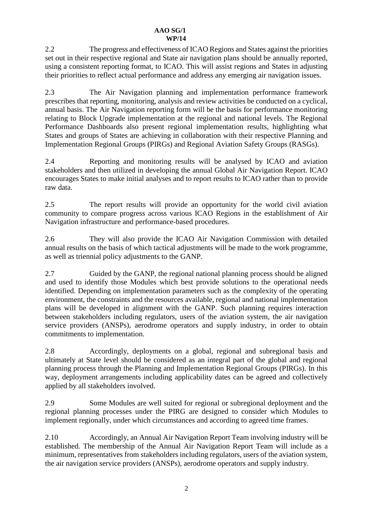2.2 The progress and effectiveness of ICAO Regions and States against the priorities set out in their respective regional and State air navigation plans should be annually reported, using a consistent reporting format, to ICAO. This will assist regions and States in adjusting their priorities to reflect actual performance and address any emerging air navigation issues.

2.3 The Air Navigation planning and implementation performance framework prescribes that reporting, monitoring, analysis and review activities be conducted on a cyclical, annual basis. The Air Navigation reporting form will be the basis for performance monitoring relating to Block Upgrade implementation at the regional and national levels. The Regional Performance Dashboards also present regional implementation results, highlighting what States and groups of States are achieving in collaboration with their respective Planning and Implementation Regional Groups (PIRGs) and Regional Aviation Safety Groups (RASGs).

2.4 Reporting and monitoring results will be analysed by ICAO and aviation stakeholders and then utilized in developing the annual Global Air Navigation Report. ICAO encourages States to make initial analyses and to report results to ICAO rather than to provide raw data.

2.5 The report results will provide an opportunity for the world civil aviation community to compare progress across various ICAO Regions in the establishment of Air Navigation infrastructure and performance-based procedures.

2.6 They will also provide the ICAO Air Navigation Commission with detailed annual results on the basis of which tactical adjustments will be made to the work programme, as well as triennial policy adjustments to the GANP.

2.7 Guided by the GANP, the regional national planning process should be aligned and used to identify those Modules which best provide solutions to the operational needs identified. Depending on implementation parameters such as the complexity of the operating environment, the constraints and the resources available, regional and national implementation plans will be developed in alignment with the GANP. Such planning requires interaction between stakeholders including regulators, users of the aviation system, the air navigation service providers (ANSPs), aerodrome operators and supply industry, in order to obtain commitments to implementation.

2.8 Accordingly, deployments on a global, regional and subregional basis and ultimately at State level should be considered as an integral part of the global and regional planning process through the Planning and Implementation Regional Groups (PIRGs). In this way, deployment arrangements including applicability dates can be agreed and collectively applied by all stakeholders involved.

2.9 Some Modules are well suited for regional or subregional deployment and the regional planning processes under the PIRG are designed to consider which Modules to implement regionally, under which circumstances and according to agreed time frames.

2.10 Accordingly, an Annual Air Navigation Report Team involving industry will be established. The membership of the Annual Air Navigation Report Team will include as a minimum, representatives from stakeholders including regulators, users of the aviation system, the air navigation service providers (ANSPs), aerodrome operators and supply industry.